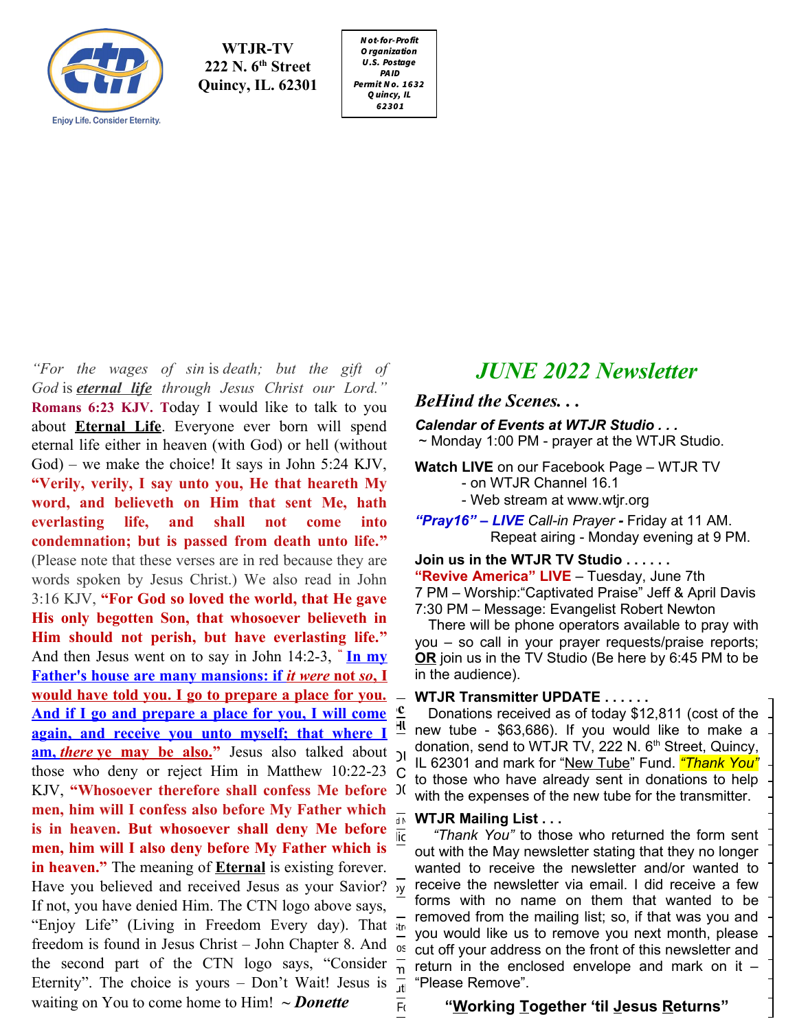

 **222 N. 6th Street WTJR-TV Quincy, IL. 62301**

N ot-for-Profit O rganization U .S. Postage PAID Permit N o. 1632 Q uincy, IL 62301

*"For the wages of sin* is *death; but the gift of God* is *eternal life through Jesus Christ our Lord."* **Romans 6:23 KJV. T**oday I would like to talk to you about **Eternal Life**. Everyone ever born will spend eternal life either in heaven (with God) or hell (without God) – we make the choice! It says in John 5:24 KJV,  $\frac{1}{2}$  **is the conduct of the says in John 5.24 RJV**,<br> **"Verily, verily, I say unto you, He that heareth My 4 word, and believeth on Him that sent Me, hath everlasting life, and shall not come into** condemnation; but is passed from death unto life." (Please note that these verses are in red because they are words spoken by Jesus Christ.) We also read in John 3:16 KJV, **"For God so loved the world, that He gave** His only begotten Son, that whosoever believeth in Him should not perish, but have everlasting life." And then Jesus went on to say in John 14:2-3, " **[In my](https://www.kingjamesbibleonline.org/John-14-2/) Father's house are many mansions: if** *it were* **not** *so***, I <u>[would have told you. I go to prepare a place for you.](https://www.kingjamesbibleonline.org/John-14-2/)</u>**  $\overline{\phantom{a}}$ **[And if I go and prepare a place for you, I will come](https://www.kingjamesbibleonline.org/John-14-3/)**  $\frac{c}{2}$  Donations received as of today \$12,811 (cost of the **EXAMPLE 1.1 <b>CO.**<br>**Exain, and receive you unto myself: that where**  $I$  $\frac{1}{2}$  **new tube - \$63,686). If you would like to make a [again, and receive you unto myself; that where I](https://www.kingjamesbibleonline.org/John-14-3/)** again, and recen **am, there [ye may be also.](https://www.kingjamesbibleonline.org/John-14-3/)**" Jesus also talked about  $\frac{1}{10}$  also talked about  $\frac{1}{10}$  also talked about  $\frac{1}{20}$ those who deny or reject Him in Matthew 10:22-23 C to those who have glosely east in denotion to be KJV, **"Whosoever therefore shall confess Me before** It with the expenses of the new tube for the transmitter men, him will I confess also before My Father which  $\frac{1}{\sqrt{2}}$  we up Mailing List **is in heaven. But whosoever shall deny Me before**  $\frac{d\mathbf{r}}{d\mathbf{r}}$  **WTJR Mailing List...**  $\frac{d}{dx}$  in neaven. But whosoever shall delly with Delore  $\frac{d}{dx}$  "Thank You" to those who returned the form sent **men, him will I also deny before My Father which is inen, inni will I also deny before My Pather winch is** out with the May newsletter stating that they no longer<br>**in heaven.**" The meaning of *Eternal* is existing forever. I wanted to receive the newsletter and/or wanted t In neaven." The meaning of **Eternal** is existing forever. The wanted to receive the newsletter and/or wanted to<br>Have you believed and received Jesus as your Savior?  $\frac{1}{y}$  receive the newsletter via email. I did receive If not, you have denied Him. The CTN logo above says, so to the mame on them the "Enjoy Life" (Living in Freedom Every day). That freedom is found in Jesus Christ – John Chapter 8. And  $\overline{\circ}$  between  $\overline{\circ}$  and  $\overline{\circ}$ the second part of the CTN logo says, "Consider Eternity". The choice is yours – Don't Wait! Jesus is  $\frac{1}{11}$  "Please Remove". waiting on You to come home to Him! *~ Donette* The fill working Together "till lesus

# *JUNE 2022 Newsletter*

## *BeHind the Scenes. . .*

## *Calendar of Events at WTJR Studio . . .*

~ Monday 1:00 PM - prayer at the WTJR Studio.

**Watch LIVE** on our Facebook Page – WTJR TV - on WTJR Channel 16.1

- Web stream at www.wtjr.org

*"Pray16" – LIVE Call-in Prayer -* Friday at 11 AM. Repeat airing - Monday evening at 9 PM.

**Join us in the WTJR TV Studio . . . . . . "Revive America" LIVE** – Tuesday, June 7th 7 PM – Worship:"Captivated Praise" Jeff & April Davis 7:30 PM – Message: Evangelist Robert Newton

 There will be phone operators available to pray with you – so call in your prayer requests/praise reports; **OR** join us in the TV Studio (Be here by 6:45 PM to be in the audience).

#### **WTJR Transmitter UPDATE . . . . . .**

 $\frac{123}{10}$  C in those who have already sent in donations to help  $1.80$  with the expenses of the new tube for the transmitter. donation, send to WTJR TV, 222 N. 6<sup>th</sup> Street, Quincy, Donations received as of today \$12,811 (cost of the IL 62301 and mark for "New Tube" Fund. *"Thank You"*

#### **WTJR Mailing List . . .**

out with the May newsletter stating that they no longer EIII that wanted to be  $\frac{1}{t}$  - removed from the mailing list; so, if that was you and  $t$  in you would like us to remove you next menth, placed you would like us to remove you next month, please ,<br>cut off your address on the front of this newsletter and he second part of the CIN logo says, "Consider  $\frac{1}{n}$  return in the enclosed envelope and mark on it – wanted to receive the newsletter and/or wanted to receive the newsletter via email. I did receive a few forms with no name on them that wanted to be "Please Remove".

## "<u>W</u>orking <u>T</u>ogether 'til <u>J</u>esus <u>R</u>eturns"